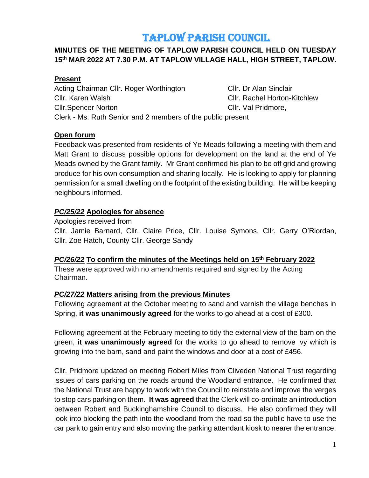# TAPLOW PARISH COUNCIL

## **MINUTES OF THE MEETING OF TAPLOW PARISH COUNCIL HELD ON TUESDAY 15th MAR 2022 AT 7.30 P.M. AT TAPLOW VILLAGE HALL, HIGH STREET, TAPLOW.**

## **Present**

**Open forum**

Acting Chairman Cllr. Roger Worthington Cllr. Dr Alan Sinclair Cllr. Karen Walsh Cllr. Rachel Horton-Kitchlew Cllr.Spencer Norton Cllr. Val Pridmore, Clerk - Ms. Ruth Senior and 2 members of the public present

## Feedback was presented from residents of Ye Meads following a meeting with them and Matt Grant to discuss possible options for development on the land at the end of Ye Meads owned by the Grant family. Mr Grant confirmed his plan to be off grid and growing produce for his own consumption and sharing locally. He is looking to apply for planning permission for a small dwelling on the footprint of the existing building. He will be keeping neighbours informed.

## *PC/25/22* **Apologies for absence**

Apologies received from Cllr. Jamie Barnard, Cllr. Claire Price, Cllr. Louise Symons, Cllr. Gerry O'Riordan, Cllr. Zoe Hatch, County Cllr. George Sandy

## *PC/26/22* **To confirm the minutes of the Meetings held on 15th February 2022**

These were approved with no amendments required and signed by the Acting Chairman.

## *PC/27/22* **Matters arising from the previous Minutes**

Following agreement at the October meeting to sand and varnish the village benches in Spring, **it was unanimously agreed** for the works to go ahead at a cost of £300.

Following agreement at the February meeting to tidy the external view of the barn on the green, **it was unanimously agreed** for the works to go ahead to remove ivy which is growing into the barn, sand and paint the windows and door at a cost of £456.

Cllr. Pridmore updated on meeting Robert Miles from Cliveden National Trust regarding issues of cars parking on the roads around the Woodland entrance. He confirmed that the National Trust are happy to work with the Council to reinstate and improve the verges to stop cars parking on them. **It was agreed** that the Clerk will co-ordinate an introduction between Robert and Buckinghamshire Council to discuss. He also confirmed they will look into blocking the path into the woodland from the road so the public have to use the car park to gain entry and also moving the parking attendant kiosk to nearer the entrance.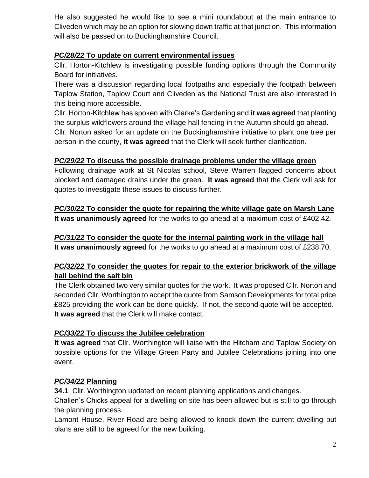He also suggested he would like to see a mini roundabout at the main entrance to Cliveden which may be an option for slowing down traffic at that junction. This information will also be passed on to Buckinghamshire Council.

## *PC/28/22* **To update on current environmental issues**

Cllr. Horton-Kitchlew is investigating possible funding options through the Community Board for initiatives.

There was a discussion regarding local footpaths and especially the footpath between Taplow Station, Taplow Court and Cliveden as the National Trust are also interested in this being more accessible.

Cllr. Horton-Kitchlew has spoken with Clarke's Gardening and **it was agreed** that planting the surplus wildflowers around the village hall fencing in the Autumn should go ahead. Cllr. Norton asked for an update on the Buckinghamshire initiative to plant one tree per person in the county, **it was agreed** that the Clerk will seek further clarification.

## *PC/29/22* **To discuss the possible drainage problems under the village green**

Following drainage work at St Nicolas school, Steve Warren flagged concerns about blocked and damaged drains under the green. **It was agreed** that the Clerk will ask for quotes to investigate these issues to discuss further.

*PC/30/22* **To consider the quote for repairing the white village gate on Marsh Lane It was unanimously agreed** for the works to go ahead at a maximum cost of £402.42.

## *PC/31/22* **To consider the quote for the internal painting work in the village hall It was unanimously agreed** for the works to go ahead at a maximum cost of £238.70.

## *PC/32/22* **To consider the quotes for repair to the exterior brickwork of the village hall behind the salt bin**

The Clerk obtained two very similar quotes for the work. It was proposed Cllr. Norton and seconded Cllr. Worthington to accept the quote from Samson Developments for total price £825 providing the work can be done quickly. If not, the second quote will be accepted. **It was agreed** that the Clerk will make contact.

## *PC/33/22* **To discuss the Jubilee celebration**

**It was agreed** that Cllr. Worthington will liaise with the Hitcham and Taplow Society on possible options for the Village Green Party and Jubilee Celebrations joining into one event.

## *PC/34/22* **Planning**

**34.1** Cllr. Worthington updated on recent planning applications and changes.

Challen's Chicks appeal for a dwelling on site has been allowed but is still to go through the planning process.

Lamont House, River Road are being allowed to knock down the current dwelling but plans are still to be agreed for the new building.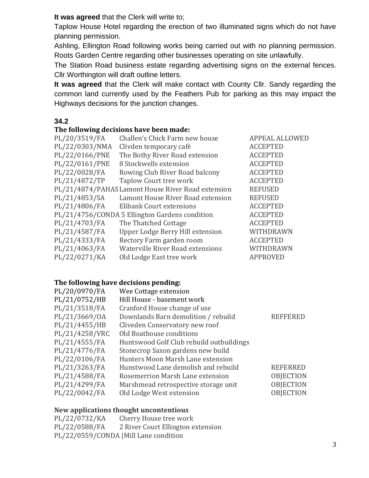**It was agreed** that the Clerk will write to;

Taplow House Hotel regarding the erection of two illuminated signs which do not have planning permission.

Ashling, Ellington Road following works being carried out with no planning permission. Roots Garden Centre regarding other businesses operating on site unlawfully.

The Station Road business estate regarding advertising signs on the external fences. Cllr.Worthington will draft outline letters.

**It was agreed** that the Clerk will make contact with County Cllr. Sandy regarding the common land currently used by the Feathers Pub for parking as this may impact the Highways decisions for the junction changes.

## **34.2**

#### **The following decisions have been made:**

| PL/20/3519/FA  | Challen's Chick Farm new house                     |  |
|----------------|----------------------------------------------------|--|
| PL/22/0303/NMA | Clivden temporary café                             |  |
| PL/22/0166/PNE | The Bothy River Road extension                     |  |
| PL/22/0161/PNE | 8 Stockwells extension                             |  |
| PL/22/0028/FA  | Rowing Club River Road balcony                     |  |
| PL/21/4872/TP  | Taplow Court tree work                             |  |
|                | PL/21/4874/PAHAS Lamont House River Road extension |  |
| PL/21/4853/SA  | Lamont House River Road extension                  |  |
| PL/21/4806/FA  | Elibank Court extensions                           |  |
|                | PL/21/4756/CONDA 5 Ellington Gardens condition     |  |
| PL/21/4703/FA  | The Thatched Cottage                               |  |
| PL/21/4587/FA  | Upper Lodge Berry Hill extension                   |  |
| PL/21/4333/FA  | Rectory Farm garden room                           |  |
| PL/21/4063/FA  | Waterville River Road extensions                   |  |
| PL/22/0271/KA  | Old Lodge East tree work                           |  |
|                |                                                    |  |

**APPEAL ALLOWED ACCEPTED** PL/22/0166/PNE The Bothy River Road extension ACCEPTED PL/22/0161/PNE 8 Stockwells extension ACCEPTED PL/22/0028/FA Rowing Club River Road balcony ACCEPTED PL/21/4872/TP Taplow Court tree work ACCEPTED REFUSED REFUSED PL/21/4806/FA Elibank Court extensions ACCEPTED ACCEPTED **ACCEPTED** PL/21/4587/FA Upper Lodge Berry Hill extension WITHDRAWN PL/21/4333/FA Rectory Farm garden room ACCEPTED PL/21/4063/FA Waterville River Road extensions WITHDRAWN **APPROVED** 

#### **The following have decisions pending:**

| PL/20/0970/FA  | Wee Cottage extension                    |                  |
|----------------|------------------------------------------|------------------|
| PL/21/0752/HB  | Hill House - basement work               |                  |
| PL/21/3518/FA  | Cranford House change of use             |                  |
| PL/21/3669/0A  | Downlands Barn demolition / rebuild      | <b>REFFERED</b>  |
| PL/21/4455/HB  | Cliveden Conservatory new roof           |                  |
| PL/21/4258/VRC | Old Boathouse conditions                 |                  |
| PL/21/4555/FA  | Huntswood Golf Club rebuild outbuildings |                  |
| PL/21/4776/FA  | Stonecrop Saxon gardens new build        |                  |
| PL/22/0106/FA  | Hunters Moon Marsh Lane extension        |                  |
| PL/21/3263/FA  | Hunstwood Lane demolish and rebuild      | <b>REFERRED</b>  |
| PL/21/4588/FA  | Rosemerrion Marsh Lane extension         | <b>OBJECTION</b> |
| PL/21/4299/FA  | Marshmead retrospective storage unit     | <b>OBJECTION</b> |
| PL/22/0042/FA  | Old Lodge West extension                 | <b>OBJECTION</b> |
|                |                                          |                  |

#### **New applications thought uncontentious**

PL/22/0732/KA Cherry House tree work PL/22/0588/FA 2 River Court Ellington extension PL/22/0559/CONDA |Mill Lane condition